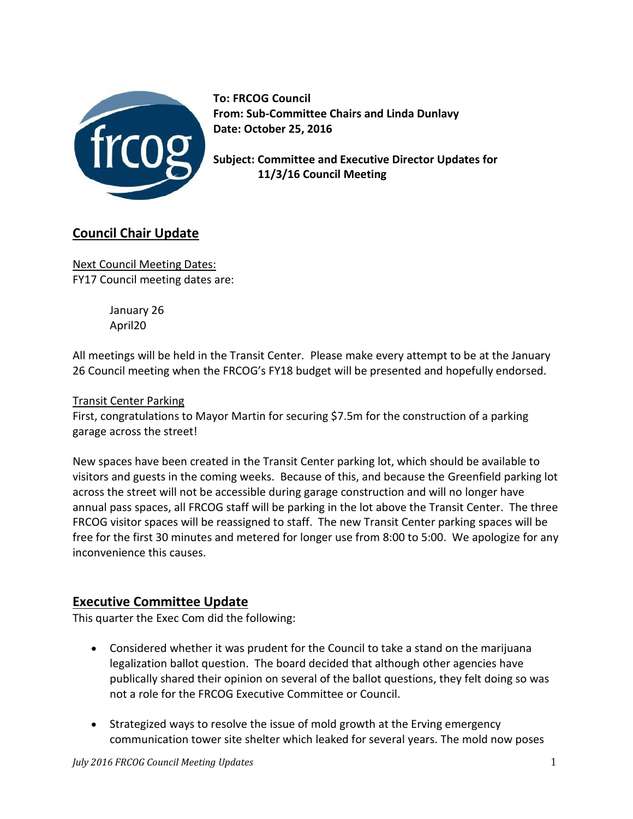

**To: FRCOG Council From: Sub-Committee Chairs and Linda Dunlavy Date: October 25, 2016**

**Subject: Committee and Executive Director Updates for 11/3/16 Council Meeting**

# **Council Chair Update**

Next Council Meeting Dates: FY17 Council meeting dates are:

> January 26 April20

All meetings will be held in the Transit Center. Please make every attempt to be at the January 26 Council meeting when the FRCOG's FY18 budget will be presented and hopefully endorsed.

# Transit Center Parking

First, congratulations to Mayor Martin for securing \$7.5m for the construction of a parking garage across the street!

New spaces have been created in the Transit Center parking lot, which should be available to visitors and guests in the coming weeks. Because of this, and because the Greenfield parking lot across the street will not be accessible during garage construction and will no longer have annual pass spaces, all FRCOG staff will be parking in the lot above the Transit Center. The three FRCOG visitor spaces will be reassigned to staff. The new Transit Center parking spaces will be free for the first 30 minutes and metered for longer use from 8:00 to 5:00. We apologize for any inconvenience this causes.

# **Executive Committee Update**

This quarter the Exec Com did the following:

- Considered whether it was prudent for the Council to take a stand on the marijuana legalization ballot question. The board decided that although other agencies have publically shared their opinion on several of the ballot questions, they felt doing so was not a role for the FRCOG Executive Committee or Council.
- Strategized ways to resolve the issue of mold growth at the Erving emergency communication tower site shelter which leaked for several years. The mold now poses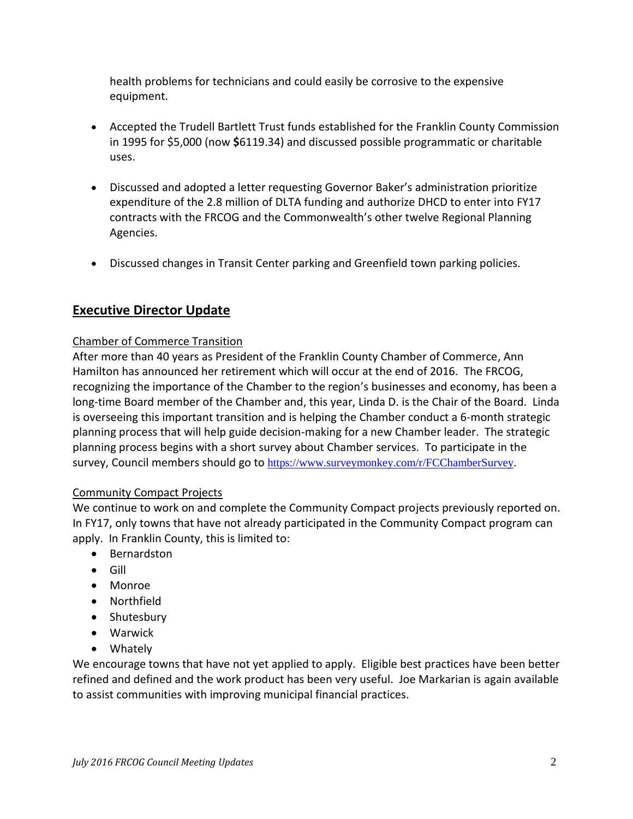health problems for technicians and could easily be corrosive to the expensive equipment.

- Accepted the Trudell Bartlett Trust funds established for the Franklin County Commission in 1995 for \$5,000 (now **\$**6119.34) and discussed possible programmatic or charitable uses.
- Discussed and adopted a letter requesting Governor Baker's administration prioritize expenditure of the 2.8 million of DLTA funding and authorize DHCD to enter into FY17 contracts with the FRCOG and the Commonwealth's other twelve Regional Planning Agencies.
- Discussed changes in Transit Center parking and Greenfield town parking policies.

# **Executive Director Update**

# Chamber of Commerce Transition

After more than 40 years as President of the Franklin County Chamber of Commerce, Ann Hamilton has announced her retirement which will occur at the end of 2016. The FRCOG, recognizing the importance of the Chamber to the region's businesses and economy, has been a long-time Board member of the Chamber and, this year, Linda D. is the Chair of the Board. Linda is overseeing this important transition and is helping the Chamber conduct a 6-month strategic planning process that will help guide decision-making for a new Chamber leader. The strategic planning process begins with a short survey about Chamber services. To participate in the survey, Council members should go to [https://www.surveymonkey.com/r/FCChamberSurvey.](https://www.surveymonkey.com/r/FCChamberSurvey)

# Community Compact Projects

We continue to work on and complete the Community Compact projects previously reported on. In FY17, only towns that have not already participated in the Community Compact program can apply. In Franklin County, this is limited to:

- Bernardston
- Gill
- Monroe
- Northfield
- Shutesbury
- Warwick
- Whately

We encourage towns that have not yet applied to apply. Eligible best practices have been better refined and defined and the work product has been very useful. Joe Markarian is again available to assist communities with improving municipal financial practices.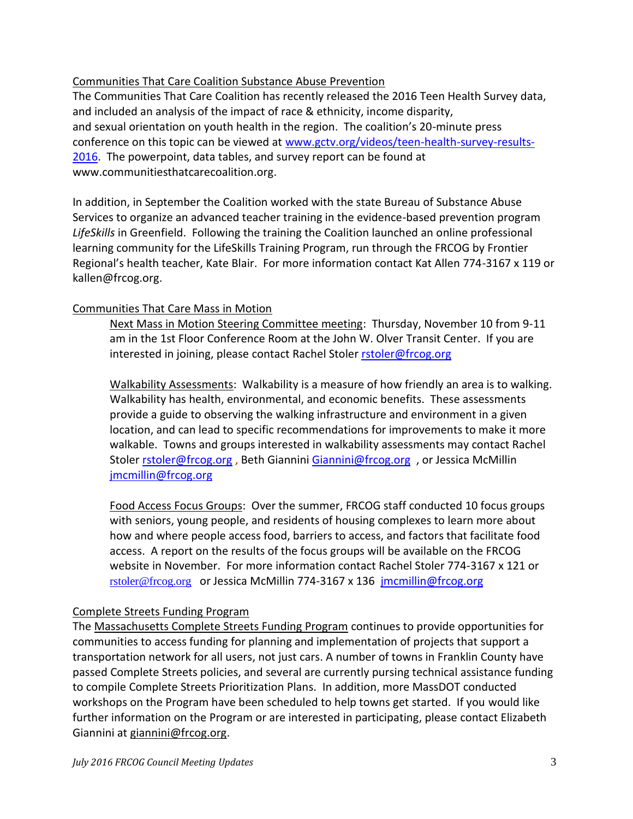# Communities That Care Coalition Substance Abuse Prevention

The Communities That Care Coalition has recently released the 2016 Teen Health Survey data, and included an analysis of the impact of race & ethnicity, income disparity, and sexual orientation on youth health in the region. The coalition's 20-minute press conference on this topic can be viewed at [www.gctv.org/videos/teen-health-survey-results-](http://www.gctv.org/videos/teen-health-survey-results-2016)[2016.](http://www.gctv.org/videos/teen-health-survey-results-2016) The powerpoint, data tables, and survey report can be found at [www.communitiesthatcarecoalition.org.](http://www.communitiesthatcarecoalition.org/)

In addition, in September the Coalition worked with the state Bureau of Substance Abuse Services to organize an advanced teacher training in the evidence-based prevention program *LifeSkills* in Greenfield. Following the training the Coalition launched an online professional learning community for the LifeSkills Training Program, run through the FRCOG by Frontier Regional's health teacher, Kate Blair. For more information contact Kat Allen 774-3167 x 119 or [kallen@frcog.org.](mailto:kallen@frcog.org)

# Communities That Care Mass in Motion

Next Mass in Motion Steering Committee meeting: Thursday, November 10 from 9-11 am in the 1st Floor Conference Room at the John W. Olver Transit Center. If you are interested in joining, please contact Rachel Stoler rstoler@frcog.org

Walkability Assessments: Walkability is a measure of how friendly an area is to walking. Walkability has health, environmental, and economic benefits. These assessments provide a guide to observing the walking infrastructure and environment in a given location, and can lead to specific recommendations for improvements to make it more walkable. Towns and groups interested in walkability assessments may contact Rachel Stole[r rstoler@frcog.org](mailto:rstoler@frcog.org), Beth Giannini [Giannini@frcog.org](mailto:Giannini@frcog.org), or Jessica McMillin [jmcmillin@frcog.org](mailto:jmcmillin@frcog.org)

Food Access Focus Groups: Over the summer, FRCOG staff conducted 10 focus groups with seniors, young people, and residents of housing complexes to learn more about how and where people access food, barriers to access, and factors that facilitate food access. A report on the results of the focus groups will be available on the FRCOG website in November. For more information contact Rachel Stoler 774-3167 x 121 or [rstoler@frcog.org](mailto:rstoler@frcog.org) or Jessica McMillin 774-3167 x 136 [jmcmillin@frcog.org](mailto:jmcmillin@frcog.org) 

# Complete Streets Funding Program

The [Massachusetts Complete](http://www.massdot.state.ma.us/Portals/8/docs/CompleteStreets/flyer.pdf) Streets Funding Program continues to provide opportunities for communities to access funding for planning and implementation of projects that support a transportation network for all users, not just cars. A number of towns in Franklin County have passed Complete Streets policies, and several are currently pursing technical assistance funding to compile Complete Streets Prioritization Plans. In addition, more MassDOT conducted workshops on the Program have been scheduled to help towns get started. If you would like further information on the Program or are interested in participating, please contact Elizabeth Giannini at [giannini@frcog.org.](mailto:giannini@frcog.org)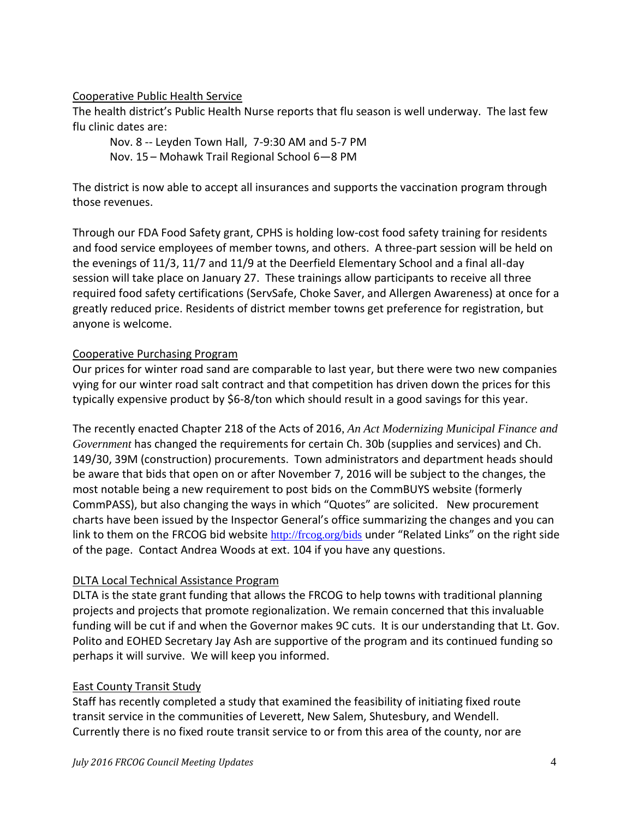# Cooperative Public Health Service

The health district's Public Health Nurse reports that flu season is well underway. The last few flu clinic dates are:

Nov. 8 -- Leyden Town Hall, 7-9:30 AM and 5-7 PM Nov. 15 – Mohawk Trail Regional School 6—8 PM

The district is now able to accept all insurances and supports the vaccination program through those revenues.

Through our FDA Food Safety grant, CPHS is holding low-cost food safety training for residents and food service employees of member towns, and others. A three-part session will be held on the evenings of 11/3, 11/7 and 11/9 at the Deerfield Elementary School and a final all-day session will take place on January 27. These trainings allow participants to receive all three required food safety certifications (ServSafe, Choke Saver, and Allergen Awareness) at once for a greatly reduced price. Residents of district member towns get preference for registration, but anyone is welcome.

# Cooperative Purchasing Program

Our prices for winter road sand are comparable to last year, but there were two new companies vying for our winter road salt contract and that competition has driven down the prices for this typically expensive product by \$6-8/ton which should result in a good savings for this year.

The recently enacted Chapter 218 of the Acts of 2016, *An Act Modernizing Municipal Finance and Government* has changed the requirements for certain Ch. 30b (supplies and services) and Ch. 149/30, 39M (construction) procurements. Town administrators and department heads should be aware that bids that open on or after November 7, 2016 will be subject to the changes, the most notable being a new requirement to post bids on the CommBUYS website (formerly CommPASS), but also changing the ways in which "Quotes" are solicited. New procurement charts have been issued by the Inspector General's office summarizing the changes and you can link to them on the FRCOG bid website <http://frcog.org/bids> under "Related Links" on the right side of the page. Contact Andrea Woods at ext. 104 if you have any questions.

# DLTA Local Technical Assistance Program

DLTA is the state grant funding that allows the FRCOG to help towns with traditional planning projects and projects that promote regionalization. We remain concerned that this invaluable funding will be cut if and when the Governor makes 9C cuts. It is our understanding that Lt. Gov. Polito and EOHED Secretary Jay Ash are supportive of the program and its continued funding so perhaps it will survive. We will keep you informed.

# East County Transit Study

Staff has recently completed a study that examined the feasibility of initiating fixed route transit service in the communities of Leverett, New Salem, Shutesbury, and Wendell. Currently there is no fixed route transit service to or from this area of the county, nor are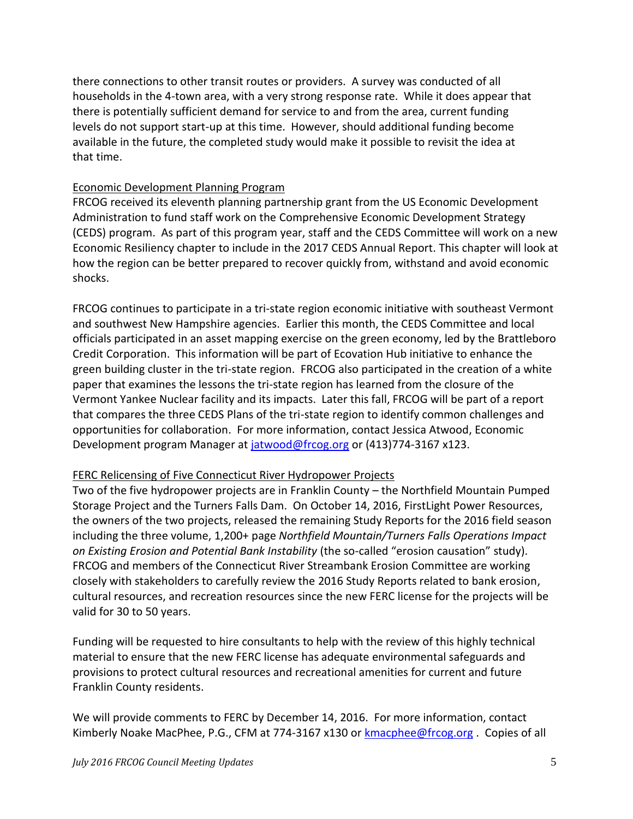there connections to other transit routes or providers. A survey was conducted of all households in the 4-town area, with a very strong response rate. While it does appear that there is potentially sufficient demand for service to and from the area, current funding levels do not support start-up at this time. However, should additional funding become available in the future, the completed study would make it possible to revisit the idea at that time.

#### Economic Development Planning Program

FRCOG received its eleventh planning partnership grant from the US Economic Development Administration to fund staff work on the Comprehensive Economic Development Strategy (CEDS) program. As part of this program year, staff and the CEDS Committee will work on a new Economic Resiliency chapter to include in the 2017 CEDS Annual Report. This chapter will look at how the region can be better prepared to recover quickly from, withstand and avoid economic shocks.

FRCOG continues to participate in a tri-state region economic initiative with southeast Vermont and southwest New Hampshire agencies. Earlier this month, the CEDS Committee and local officials participated in an asset mapping exercise on the green economy, led by the Brattleboro Credit Corporation. This information will be part of Ecovation Hub initiative to enhance the green building cluster in the tri-state region. FRCOG also participated in the creation of a white paper that examines the lessons the tri-state region has learned from the closure of the Vermont Yankee Nuclear facility and its impacts. Later this fall, FRCOG will be part of a report that compares the three CEDS Plans of the tri-state region to identify common challenges and opportunities for collaboration. For more information, contact Jessica Atwood, Economic Development program Manager at [jatwood@frcog.org](mailto:jatwood@frcog.org) or (413)774-3167 x123.

#### FERC Relicensing of Five Connecticut River Hydropower Projects

Two of the five hydropower projects are in Franklin County – the Northfield Mountain Pumped Storage Project and the Turners Falls Dam. On October 14, 2016, FirstLight Power Resources, the owners of the two projects, released the remaining Study Reports for the 2016 field season including the three volume, 1,200+ page *Northfield Mountain/Turners Falls Operations Impact on Existing Erosion and Potential Bank Instability* (the so-called "erosion causation" study). FRCOG and members of the Connecticut River Streambank Erosion Committee are working closely with stakeholders to carefully review the 2016 Study Reports related to bank erosion, cultural resources, and recreation resources since the new FERC license for the projects will be valid for 30 to 50 years.

Funding will be requested to hire consultants to help with the review of this highly technical material to ensure that the new FERC license has adequate environmental safeguards and provisions to protect cultural resources and recreational amenities for current and future Franklin County residents.

We will provide comments to FERC by December 14, 2016. For more information, contact Kimberly Noake MacPhee, P.G., CFM at 774-3167 x130 or [kmacphee@frcog.org](mailto:kmacphee@frcog.org). Copies of all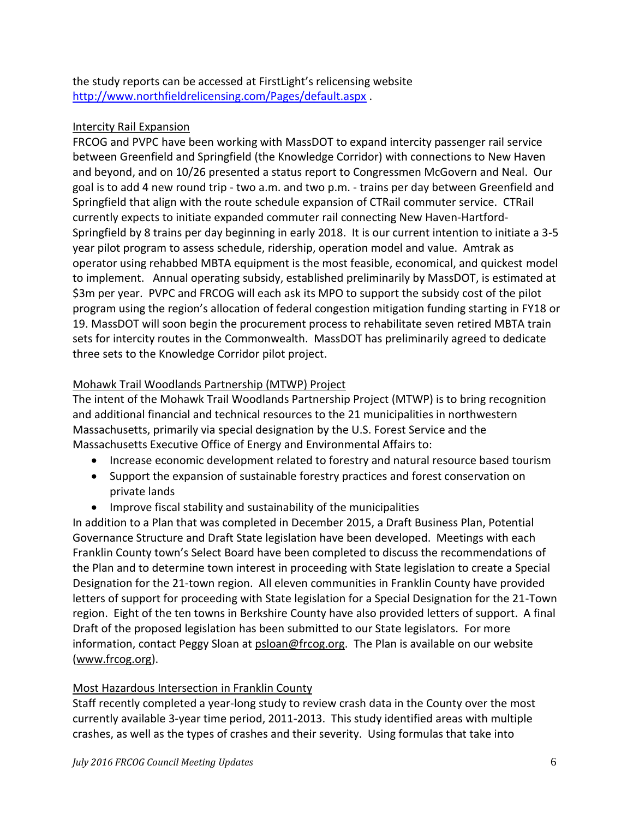the study reports can be accessed at FirstLight's relicensing website <http://www.northfieldrelicensing.com/Pages/default.aspx> .

# Intercity Rail Expansion

FRCOG and PVPC have been working with MassDOT to expand intercity passenger rail service between Greenfield and Springfield (the Knowledge Corridor) with connections to New Haven and beyond, and on 10/26 presented a status report to Congressmen McGovern and Neal. Our goal is to add 4 new round trip - two a.m. and two p.m. - trains per day between Greenfield and Springfield that align with the route schedule expansion of CTRail commuter service. CTRail currently expects to initiate expanded commuter rail connecting New Haven-Hartford-Springfield by 8 trains per day beginning in early 2018. It is our current intention to initiate a 3-5 year pilot program to assess schedule, ridership, operation model and value. Amtrak as operator using rehabbed MBTA equipment is the most feasible, economical, and quickest model to implement. Annual operating subsidy, established preliminarily by MassDOT, is estimated at \$3m per year. PVPC and FRCOG will each ask its MPO to support the subsidy cost of the pilot program using the region's allocation of federal congestion mitigation funding starting in FY18 or 19. MassDOT will soon begin the procurement process to rehabilitate seven retired MBTA train sets for intercity routes in the Commonwealth. MassDOT has preliminarily agreed to dedicate three sets to the Knowledge Corridor pilot project.

# Mohawk Trail Woodlands Partnership (MTWP) Project

The intent of the Mohawk Trail Woodlands Partnership Project (MTWP) is to bring recognition and additional financial and technical resources to the 21 municipalities in northwestern Massachusetts, primarily via special designation by the U.S. Forest Service and the Massachusetts Executive Office of Energy and Environmental Affairs to:

- Increase economic development related to forestry and natural resource based tourism
- Support the expansion of sustainable forestry practices and forest conservation on private lands
- Improve fiscal stability and sustainability of the municipalities

In addition to a Plan that was completed in December 2015, a Draft Business Plan, Potential Governance Structure and Draft State legislation have been developed. Meetings with each Franklin County town's Select Board have been completed to discuss the recommendations of the Plan and to determine town interest in proceeding with State legislation to create a Special Designation for the 21-town region. All eleven communities in Franklin County have provided letters of support for proceeding with State legislation for a Special Designation for the 21-Town region. Eight of the ten towns in Berkshire County have also provided letters of support. A final Draft of the proposed legislation has been submitted to our State legislators. For more information, contact Peggy Sloan at [psloan@frcog.org.](mailto:psloan@frcog.org) The Plan is available on our website [\(www.frcog.org\)](http://www.frcog.org/).

# Most Hazardous Intersection in Franklin County

Staff recently completed a year-long study to review crash data in the County over the most currently available 3-year time period, 2011-2013. This study identified areas with multiple crashes, as well as the types of crashes and their severity. Using formulas that take into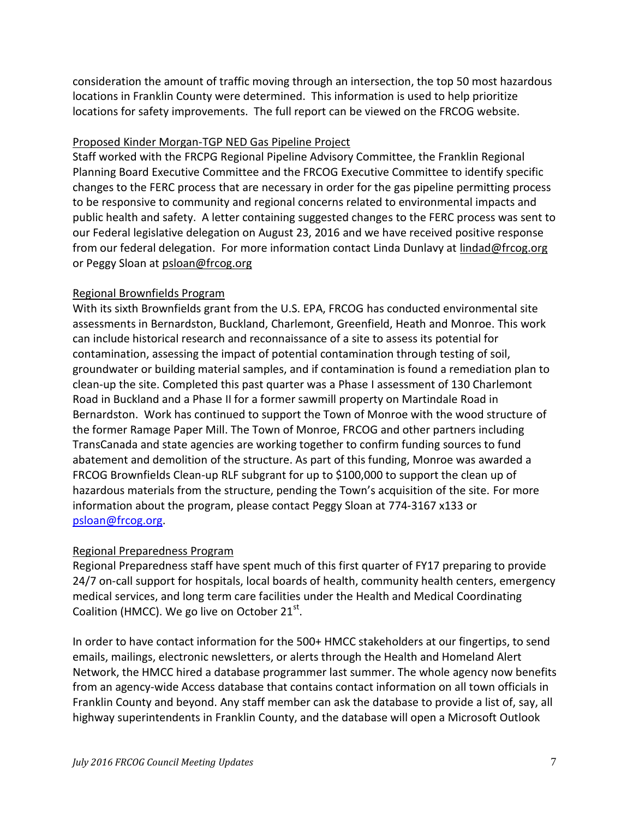consideration the amount of traffic moving through an intersection, the top 50 most hazardous locations in Franklin County were determined. This information is used to help prioritize locations for safety improvements. The full report can be viewed on the FRCOG website.

# Proposed Kinder Morgan-TGP NED Gas Pipeline Project

Staff worked with the FRCPG Regional Pipeline Advisory Committee, the Franklin Regional Planning Board Executive Committee and the FRCOG Executive Committee to identify specific changes to the FERC process that are necessary in order for the gas pipeline permitting process to be responsive to community and regional concerns related to environmental impacts and public health and safety. A letter containing suggested changes to the FERC process was sent to our Federal legislative delegation on August 23, 2016 and we have received positive response from our federal delegation. For more information contact Linda Dunlavy at [lindad@frcog.org](mailto:lindad@frcog.org) or Peggy Sloan at [psloan@frcog.org](mailto:psloan@frcog.org)

# Regional Brownfields Program

With its sixth Brownfields grant from the U.S. EPA, FRCOG has conducted environmental site assessments in Bernardston, Buckland, Charlemont, Greenfield, Heath and Monroe. This work can include historical research and reconnaissance of a site to assess its potential for contamination, assessing the impact of potential contamination through testing of soil, groundwater or building material samples, and if contamination is found a remediation plan to clean-up the site. Completed this past quarter was a Phase I assessment of 130 Charlemont Road in Buckland and a Phase II for a former sawmill property on Martindale Road in Bernardston. Work has continued to support the Town of Monroe with the wood structure of the former Ramage Paper Mill. The Town of Monroe, FRCOG and other partners including TransCanada and state agencies are working together to confirm funding sources to fund abatement and demolition of the structure. As part of this funding, Monroe was awarded a FRCOG Brownfields Clean-up RLF subgrant for up to \$100,000 to support the clean up of hazardous materials from the structure, pending the Town's acquisition of the site. For more information about the program, please contact Peggy Sloan at 774-3167 x133 or [psloan@frcog.org.](mailto:psloan@frcog.org)

# Regional Preparedness Program

Regional Preparedness staff have spent much of this first quarter of FY17 preparing to provide 24/7 on-call support for hospitals, local boards of health, community health centers, emergency medical services, and long term care facilities under the Health and Medical Coordinating Coalition (HMCC). We go live on October 21st.

In order to have contact information for the 500+ HMCC stakeholders at our fingertips, to send emails, mailings, electronic newsletters, or alerts through the Health and Homeland Alert Network, the HMCC hired a database programmer last summer. The whole agency now benefits from an agency-wide Access database that contains contact information on all town officials in Franklin County and beyond. Any staff member can ask the database to provide a list of, say, all highway superintendents in Franklin County, and the database will open a Microsoft Outlook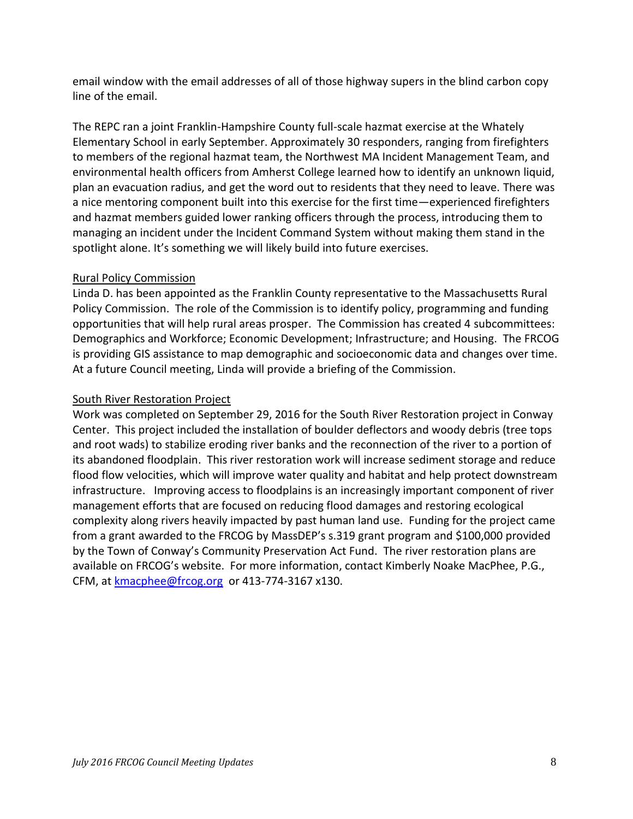email window with the email addresses of all of those highway supers in the blind carbon copy line of the email.

The REPC ran a joint Franklin-Hampshire County full-scale hazmat exercise at the Whately Elementary School in early September. Approximately 30 responders, ranging from firefighters to members of the regional hazmat team, the Northwest MA Incident Management Team, and environmental health officers from Amherst College learned how to identify an unknown liquid, plan an evacuation radius, and get the word out to residents that they need to leave. There was a nice mentoring component built into this exercise for the first time—experienced firefighters and hazmat members guided lower ranking officers through the process, introducing them to managing an incident under the Incident Command System without making them stand in the spotlight alone. It's something we will likely build into future exercises.

# Rural Policy Commission

Linda D. has been appointed as the Franklin County representative to the Massachusetts Rural Policy Commission. The role of the Commission is to identify policy, programming and funding opportunities that will help rural areas prosper. The Commission has created 4 subcommittees: Demographics and Workforce; Economic Development; Infrastructure; and Housing. The FRCOG is providing GIS assistance to map demographic and socioeconomic data and changes over time. At a future Council meeting, Linda will provide a briefing of the Commission.

#### South River Restoration Project

Work was completed on September 29, 2016 for the South River Restoration project in Conway Center. This project included the installation of boulder deflectors and woody debris (tree tops and root wads) to stabilize eroding river banks and the reconnection of the river to a portion of its abandoned floodplain. This river restoration work will increase sediment storage and reduce flood flow velocities, which will improve water quality and habitat and help protect downstream infrastructure. Improving access to floodplains is an increasingly important component of river management efforts that are focused on reducing flood damages and restoring ecological complexity along rivers heavily impacted by past human land use. Funding for the project came from a grant awarded to the FRCOG by MassDEP's s.319 grant program and \$100,000 provided by the Town of Conway's Community Preservation Act Fund. The river restoration plans are available on FRCOG's website. For more information, contact Kimberly Noake MacPhee, P.G., CFM, at [kmacphee@frcog.org](mailto:kmacphee@frcog.org) or 413-774-3167 x130.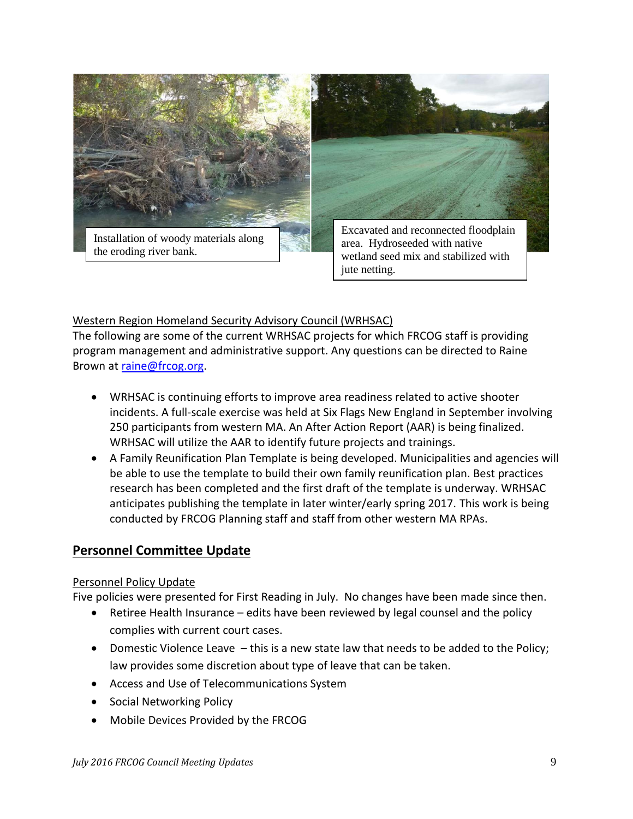

#### Western Region Homeland Security Advisory Council (WRHSAC)

The following are some of the current WRHSAC projects for which FRCOG staff is providing program management and administrative support. Any questions can be directed to Raine Brown at [raine@frcog.org.](mailto:raine@frcog.org)

 WRHSAC is continuing efforts to improve area readiness related to active shooter incidents. A full-scale exercise was held at Six Flags New England in September involving 250 participants from western MA. An After Action Report (AAR) is being finalized. WRHSAC will utilize the AAR to identify future projects and trainings.

jute netting.

 A Family Reunification Plan Template is being developed. Municipalities and agencies will be able to use the template to build their own family reunification plan. Best practices research has been completed and the first draft of the template is underway. WRHSAC anticipates publishing the template in later winter/early spring 2017. This work is being conducted by FRCOG Planning staff and staff from other western MA RPAs.

# **Personnel Committee Update**

#### Personnel Policy Update

Five policies were presented for First Reading in July. No changes have been made since then.

- Retiree Health Insurance edits have been reviewed by legal counsel and the policy complies with current court cases.
- Domestic Violence Leave this is a new state law that needs to be added to the Policy; law provides some discretion about type of leave that can be taken.
- Access and Use of Telecommunications System
- Social Networking Policy
- Mobile Devices Provided by the FRCOG